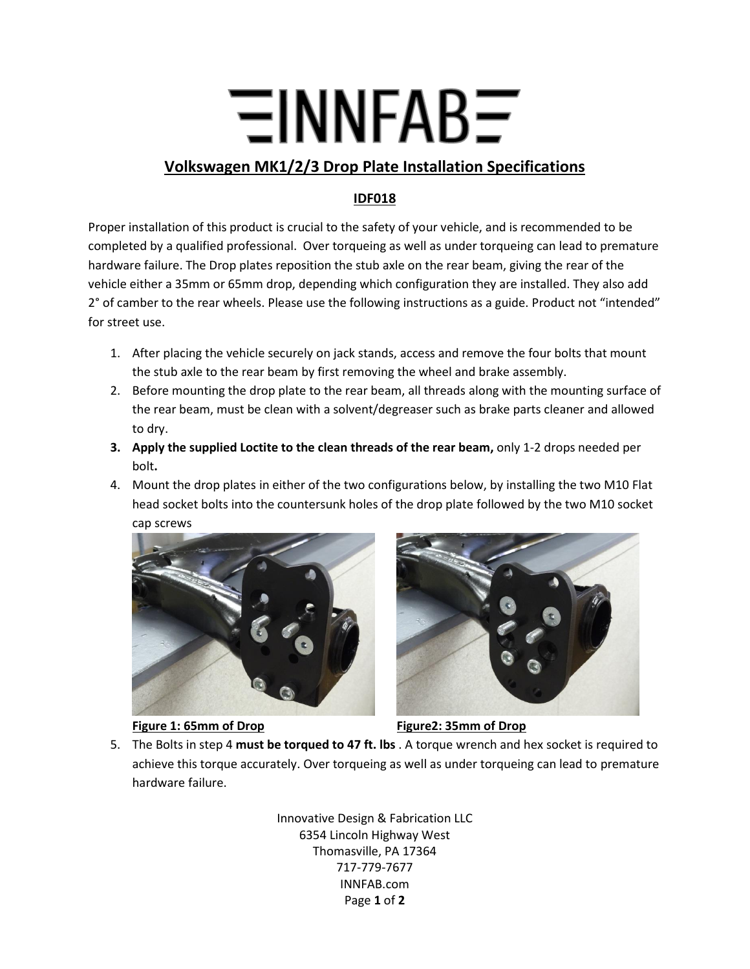## $\Xi$ INNFAB $\Xi$

## **Volkswagen MK1/2/3 Drop Plate Installation Specifications**

## **IDF018**

Proper installation of this product is crucial to the safety of your vehicle, and is recommended to be completed by a qualified professional. Over torqueing as well as under torqueing can lead to premature hardware failure. The Drop plates reposition the stub axle on the rear beam, giving the rear of the vehicle either a 35mm or 65mm drop, depending which configuration they are installed. They also add 2° of camber to the rear wheels. Please use the following instructions as a guide. Product not "intended" for street use.

- 1. After placing the vehicle securely on jack stands, access and remove the four bolts that mount the stub axle to the rear beam by first removing the wheel and brake assembly.
- 2. Before mounting the drop plate to the rear beam, all threads along with the mounting surface of the rear beam, must be clean with a solvent/degreaser such as brake parts cleaner and allowed to dry.
- **3. Apply the supplied Loctite to the clean threads of the rear beam,** only 1-2 drops needed per bolt**.**
- 4. Mount the drop plates in either of the two configurations below, by installing the two M10 Flat head socket bolts into the countersunk holes of the drop plate followed by the two M10 socket cap screws



## **Figure 1: 65mm of Drop Figure2: 35mm of Drop**



5. The Bolts in step 4 **must be torqued to 47 ft. lbs** . A torque wrench and hex socket is required to achieve this torque accurately. Over torqueing as well as under torqueing can lead to premature hardware failure.

> Innovative Design & Fabrication LLC 6354 Lincoln Highway West Thomasville, PA 17364 717-779-7677 INNFAB.com Page **1** of **2**